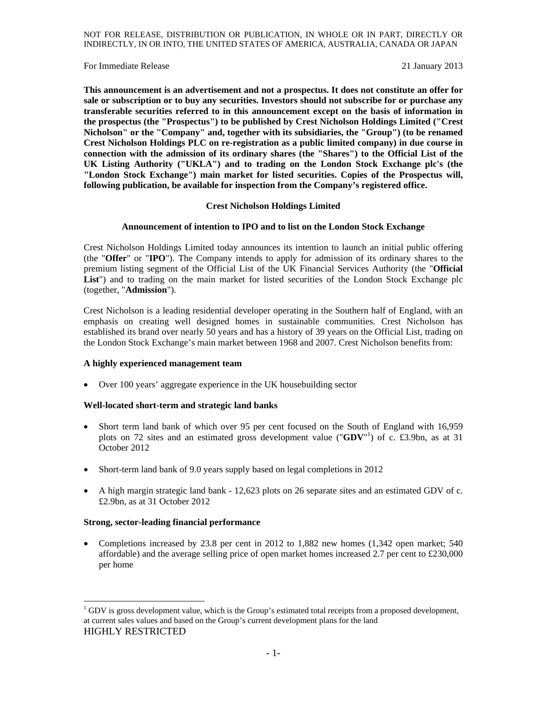For Immediate Release 21 January 2013

**This announcement is an advertisement and not a prospectus. It does not constitute an offer for sale or subscription or to buy any securities. Investors should not subscribe for or purchase any transferable securities referred to in this announcement except on the basis of information in the prospectus (the "Prospectus") to be published by Crest Nicholson Holdings Limited ("Crest Nicholson" or the "Company" and, together with its subsidiaries, the "Group") (to be renamed Crest Nicholson Holdings PLC on re-registration as a public limited company) in due course in connection with the admission of its ordinary shares (the "Shares") to the Official List of the UK Listing Authority ("UKLA") and to trading on the London Stock Exchange plc's (the "London Stock Exchange") main market for listed securities. Copies of the Prospectus will, following publication, be available for inspection from the Company's registered office.** 

# **Crest Nicholson Holdings Limited**

## **Announcement of intention to IPO and to list on the London Stock Exchange**

Crest Nicholson Holdings Limited today announces its intention to launch an initial public offering (the "**Offer**" or "**IPO**"). The Company intends to apply for admission of its ordinary shares to the premium listing segment of the Official List of the UK Financial Services Authority (the "**Official List**") and to trading on the main market for listed securities of the London Stock Exchange plc (together, "**Admission**").

Crest Nicholson is a leading residential developer operating in the Southern half of England, with an emphasis on creating well designed homes in sustainable communities. Crest Nicholson has established its brand over nearly 50 years and has a history of 39 years on the Official List, trading on the London Stock Exchange's main market between 1968 and 2007. Crest Nicholson benefits from:

# **A highly experienced management team**

Over 100 years' aggregate experience in the UK housebuilding sector

# **Well-located short-term and strategic land banks**

- Short term land bank of which over 95 per cent focused on the South of England with 16,959 plots on 72 sites and an estimated gross development value ("**GDV**" 1 ) of c. £3.9bn, as at 31 October 2012
- Short-term land bank of 9.0 years supply based on legal completions in 2012
- A high margin strategic land bank 12,623 plots on 26 separate sites and an estimated GDV of c. £2.9bn, as at 31 October 2012

## **Strong, sector-leading financial performance**

-

• Completions increased by 23.8 per cent in 2012 to 1,882 new homes (1,342 open market; 540 affordable) and the average selling price of open market homes increased 2.7 per cent to £230,000 per home

HIGHLY RESTRICTED  $1$  GDV is gross development value, which is the Group's estimated total receipts from a proposed development, at current sales values and based on the Group's current development plans for the land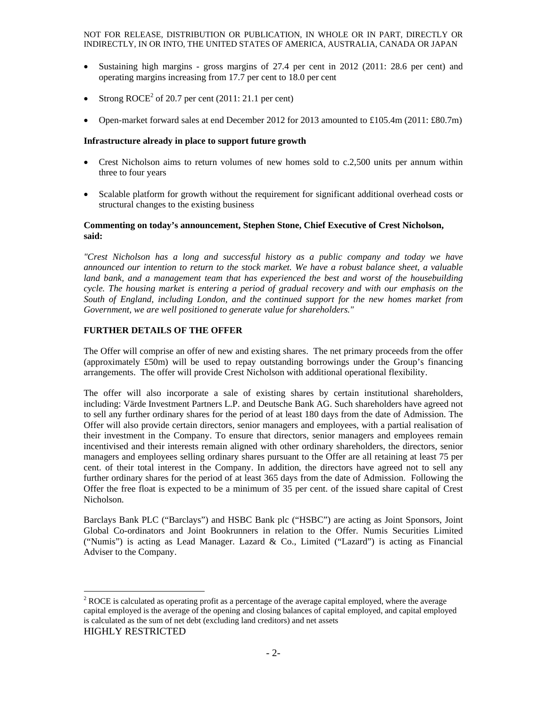- Sustaining high margins gross margins of 27.4 per cent in 2012 (2011: 28.6 per cent) and operating margins increasing from 17.7 per cent to 18.0 per cent
- Strong  $ROCE<sup>2</sup>$  of 20.7 per cent (2011: 21.1 per cent)
- Open-market forward sales at end December 2012 for 2013 amounted to £105.4m (2011: £80.7m)

## **Infrastructure already in place to support future growth**

- Crest Nicholson aims to return volumes of new homes sold to c.2,500 units per annum within three to four years
- Scalable platform for growth without the requirement for significant additional overhead costs or structural changes to the existing business

# **Commenting on today's announcement, Stephen Stone, Chief Executive of Crest Nicholson, said:**

*"Crest Nicholson has a long and successful history as a public company and today we have announced our intention to return to the stock market. We have a robust balance sheet, a valuable land bank, and a management team that has experienced the best and worst of the housebuilding cycle. The housing market is entering a period of gradual recovery and with our emphasis on the South of England, including London, and the continued support for the new homes market from Government, we are well positioned to generate value for shareholders."* 

## **FURTHER DETAILS OF THE OFFER**

The Offer will comprise an offer of new and existing shares. The net primary proceeds from the offer (approximately £50m) will be used to repay outstanding borrowings under the Group's financing arrangements. The offer will provide Crest Nicholson with additional operational flexibility.

The offer will also incorporate a sale of existing shares by certain institutional shareholders, including: Värde Investment Partners L.P. and Deutsche Bank AG. Such shareholders have agreed not to sell any further ordinary shares for the period of at least 180 days from the date of Admission. The Offer will also provide certain directors, senior managers and employees, with a partial realisation of their investment in the Company. To ensure that directors, senior managers and employees remain incentivised and their interests remain aligned with other ordinary shareholders, the directors, senior managers and employees selling ordinary shares pursuant to the Offer are all retaining at least 75 per cent. of their total interest in the Company. In addition, the directors have agreed not to sell any further ordinary shares for the period of at least 365 days from the date of Admission. Following the Offer the free float is expected to be a minimum of 35 per cent. of the issued share capital of Crest Nicholson.

Barclays Bank PLC ("Barclays") and HSBC Bank plc ("HSBC") are acting as Joint Sponsors, Joint Global Co-ordinators and Joint Bookrunners in relation to the Offer. Numis Securities Limited ("Numis") is acting as Lead Manager. Lazard & Co., Limited ("Lazard") is acting as Financial Adviser to the Company.

<sup>-</sup> $2^{2}$  ROCE is calculated as operating profit as a percentage of the average capital employed, where the average capital employed is the average of the opening and closing balances of capital employed, and capital employed is calculated as the sum of net debt (excluding land creditors) and net assets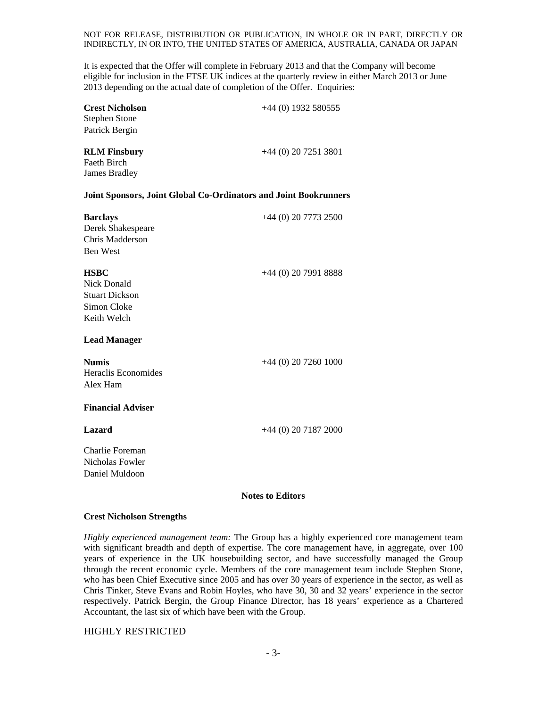It is expected that the Offer will complete in February 2013 and that the Company will become eligible for inclusion in the FTSE UK indices at the quarterly review in either March 2013 or June 2013 depending on the actual date of completion of the Offer. Enquiries:

| <b>Crest Nicholson</b><br><b>Stephen Stone</b><br>Patrick Bergin | $+44$ (0) 1932 580555  |
|------------------------------------------------------------------|------------------------|
| <b>RLM</b> Finsbury<br>Faeth Birch<br>James Bradley              | $+44$ (0) 20 7251 3801 |

### **Joint Sponsors, Joint Global Co-Ordinators and Joint Bookrunners**

| <b>Barclays</b><br>Derek Shakespeare<br>Chris Madderson<br><b>Ben West</b>        | +44 (0) 20 7773 2500   |
|-----------------------------------------------------------------------------------|------------------------|
| <b>HSBC</b><br>Nick Donald<br><b>Stuart Dickson</b><br>Simon Cloke<br>Keith Welch | +44 (0) 20 7991 8888   |
| <b>Lead Manager</b>                                                               |                        |
| <b>Numis</b><br>Heraclis Economides<br>Alex Ham                                   | $+44$ (0) 20 7260 1000 |
| <b>Financial Adviser</b>                                                          |                        |
| Lazard                                                                            | +44 (0) 20 7187 2000   |
| Charlie Foreman<br>Nicholas Fowler<br>Daniel Muldoon                              |                        |

# **Notes to Editors**

## **Crest Nicholson Strengths**

*Highly experienced management team:* The Group has a highly experienced core management team with significant breadth and depth of expertise. The core management have, in aggregate, over 100 years of experience in the UK housebuilding sector, and have successfully managed the Group through the recent economic cycle. Members of the core management team include Stephen Stone, who has been Chief Executive since 2005 and has over 30 years of experience in the sector, as well as Chris Tinker, Steve Evans and Robin Hoyles, who have 30, 30 and 32 years' experience in the sector respectively. Patrick Bergin, the Group Finance Director, has 18 years' experience as a Chartered Accountant, the last six of which have been with the Group.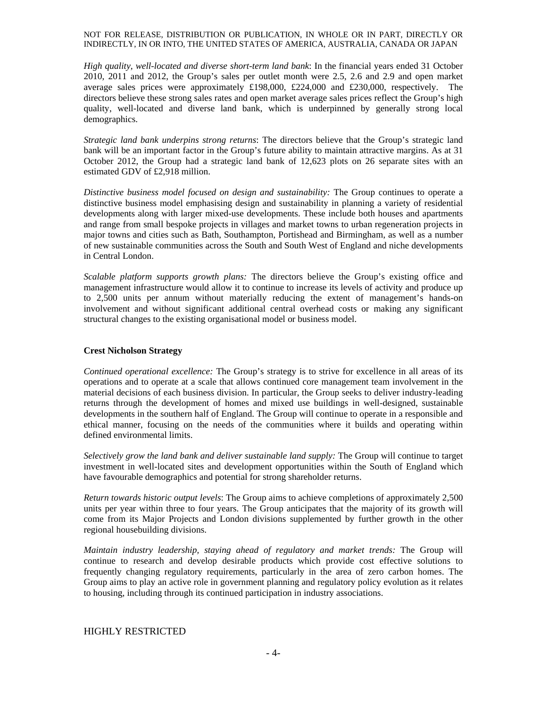*High quality, well-located and diverse short-term land bank*: In the financial years ended 31 October 2010, 2011 and 2012, the Group's sales per outlet month were 2.5, 2.6 and 2.9 and open market average sales prices were approximately £198,000, £224,000 and £230,000, respectively. The directors believe these strong sales rates and open market average sales prices reflect the Group's high quality, well-located and diverse land bank, which is underpinned by generally strong local demographics.

*Strategic land bank underpins strong returns*: The directors believe that the Group's strategic land bank will be an important factor in the Group's future ability to maintain attractive margins. As at 31 October 2012, the Group had a strategic land bank of 12,623 plots on 26 separate sites with an estimated GDV of £2,918 million.

*Distinctive business model focused on design and sustainability:* The Group continues to operate a distinctive business model emphasising design and sustainability in planning a variety of residential developments along with larger mixed-use developments. These include both houses and apartments and range from small bespoke projects in villages and market towns to urban regeneration projects in major towns and cities such as Bath, Southampton, Portishead and Birmingham, as well as a number of new sustainable communities across the South and South West of England and niche developments in Central London.

*Scalable platform supports growth plans:* The directors believe the Group's existing office and management infrastructure would allow it to continue to increase its levels of activity and produce up to 2,500 units per annum without materially reducing the extent of management's hands-on involvement and without significant additional central overhead costs or making any significant structural changes to the existing organisational model or business model.

## **Crest Nicholson Strategy**

*Continued operational excellence:* The Group's strategy is to strive for excellence in all areas of its operations and to operate at a scale that allows continued core management team involvement in the material decisions of each business division. In particular, the Group seeks to deliver industry-leading returns through the development of homes and mixed use buildings in well-designed, sustainable developments in the southern half of England. The Group will continue to operate in a responsible and ethical manner, focusing on the needs of the communities where it builds and operating within defined environmental limits.

*Selectively grow the land bank and deliver sustainable land supply:* The Group will continue to target investment in well-located sites and development opportunities within the South of England which have favourable demographics and potential for strong shareholder returns.

*Return towards historic output levels*: The Group aims to achieve completions of approximately 2,500 units per year within three to four years. The Group anticipates that the majority of its growth will come from its Major Projects and London divisions supplemented by further growth in the other regional housebuilding divisions.

*Maintain industry leadership, staying ahead of regulatory and market trends:* The Group will continue to research and develop desirable products which provide cost effective solutions to frequently changing regulatory requirements, particularly in the area of zero carbon homes. The Group aims to play an active role in government planning and regulatory policy evolution as it relates to housing, including through its continued participation in industry associations.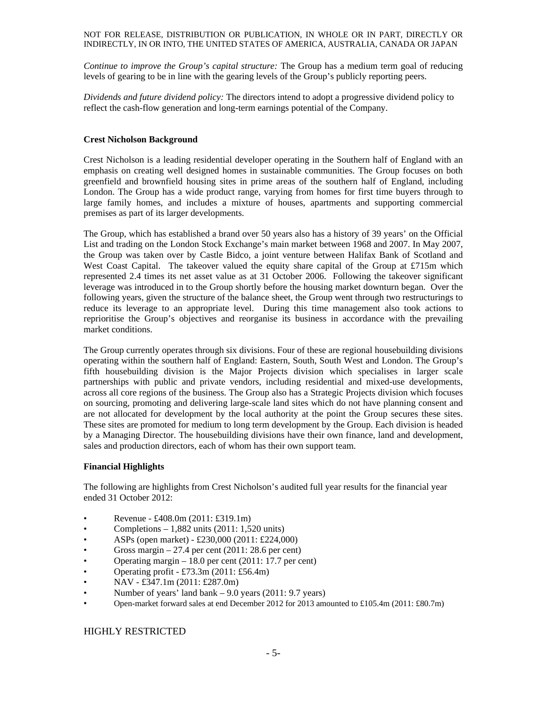*Continue to improve the Group's capital structure:* The Group has a medium term goal of reducing levels of gearing to be in line with the gearing levels of the Group's publicly reporting peers.

*Dividends and future dividend policy:* The directors intend to adopt a progressive dividend policy to reflect the cash-flow generation and long-term earnings potential of the Company.

## **Crest Nicholson Background**

Crest Nicholson is a leading residential developer operating in the Southern half of England with an emphasis on creating well designed homes in sustainable communities. The Group focuses on both greenfield and brownfield housing sites in prime areas of the southern half of England, including London. The Group has a wide product range, varying from homes for first time buyers through to large family homes, and includes a mixture of houses, apartments and supporting commercial premises as part of its larger developments.

The Group, which has established a brand over 50 years also has a history of 39 years' on the Official List and trading on the London Stock Exchange's main market between 1968 and 2007. In May 2007, the Group was taken over by Castle Bidco, a joint venture between Halifax Bank of Scotland and West Coast Capital. The takeover valued the equity share capital of the Group at £715m which represented 2.4 times its net asset value as at 31 October 2006. Following the takeover significant leverage was introduced in to the Group shortly before the housing market downturn began. Over the following years, given the structure of the balance sheet, the Group went through two restructurings to reduce its leverage to an appropriate level. During this time management also took actions to reprioritise the Group's objectives and reorganise its business in accordance with the prevailing market conditions.

The Group currently operates through six divisions. Four of these are regional housebuilding divisions operating within the southern half of England: Eastern, South, South West and London. The Group's fifth housebuilding division is the Major Projects division which specialises in larger scale partnerships with public and private vendors, including residential and mixed-use developments, across all core regions of the business. The Group also has a Strategic Projects division which focuses on sourcing, promoting and delivering large-scale land sites which do not have planning consent and are not allocated for development by the local authority at the point the Group secures these sites. These sites are promoted for medium to long term development by the Group. Each division is headed by a Managing Director. The housebuilding divisions have their own finance, land and development, sales and production directors, each of whom has their own support team.

### **Financial Highlights**

The following are highlights from Crest Nicholson's audited full year results for the financial year ended 31 October 2012:

- Revenue £408.0m (2011: £319.1m)
- Completions  $-1,882$  units (2011: 1,520 units)
- ASPs (open market) £230,000 (2011: £224,000)
- Gross margin  $-27.4$  per cent (2011: 28.6 per cent)
- Operating margin 18.0 per cent (2011: 17.7 per cent)
- Operating profit £73.3m (2011: £56.4m)
- NAV £347.1m (2011: £287.0m)
- Number of years' land bank 9.0 years (2011: 9.7 years)
- Open-market forward sales at end December 2012 for 2013 amounted to £105.4m (2011: £80.7m)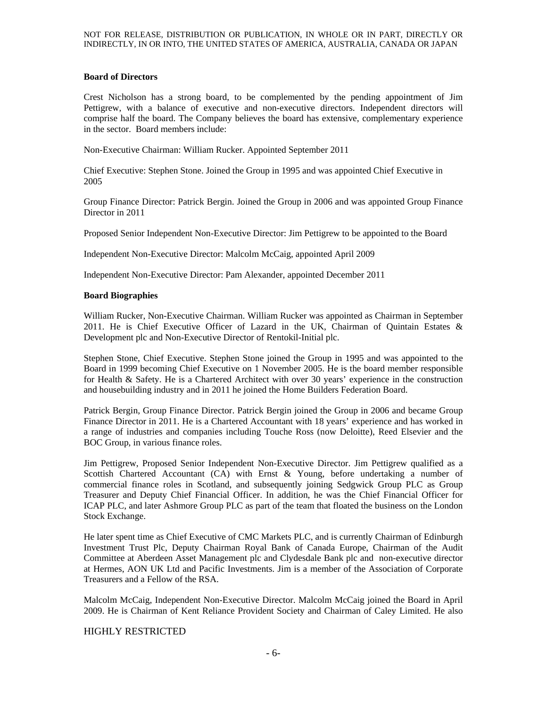# **Board of Directors**

Crest Nicholson has a strong board, to be complemented by the pending appointment of Jim Pettigrew, with a balance of executive and non-executive directors. Independent directors will comprise half the board. The Company believes the board has extensive, complementary experience in the sector. Board members include:

Non-Executive Chairman: William Rucker. Appointed September 2011

Chief Executive: Stephen Stone. Joined the Group in 1995 and was appointed Chief Executive in 2005

Group Finance Director: Patrick Bergin. Joined the Group in 2006 and was appointed Group Finance Director in 2011

Proposed Senior Independent Non-Executive Director: Jim Pettigrew to be appointed to the Board

Independent Non-Executive Director: Malcolm McCaig, appointed April 2009

Independent Non-Executive Director: Pam Alexander, appointed December 2011

# **Board Biographies**

William Rucker, Non-Executive Chairman. William Rucker was appointed as Chairman in September 2011. He is Chief Executive Officer of Lazard in the UK, Chairman of Quintain Estates & Development plc and Non-Executive Director of Rentokil-Initial plc.

Stephen Stone, Chief Executive. Stephen Stone joined the Group in 1995 and was appointed to the Board in 1999 becoming Chief Executive on 1 November 2005. He is the board member responsible for Health & Safety. He is a Chartered Architect with over 30 years' experience in the construction and housebuilding industry and in 2011 he joined the Home Builders Federation Board.

Patrick Bergin, Group Finance Director. Patrick Bergin joined the Group in 2006 and became Group Finance Director in 2011. He is a Chartered Accountant with 18 years' experience and has worked in a range of industries and companies including Touche Ross (now Deloitte), Reed Elsevier and the BOC Group, in various finance roles.

Jim Pettigrew, Proposed Senior Independent Non-Executive Director. Jim Pettigrew qualified as a Scottish Chartered Accountant (CA) with Ernst & Young, before undertaking a number of commercial finance roles in Scotland, and subsequently joining Sedgwick Group PLC as Group Treasurer and Deputy Chief Financial Officer. In addition, he was the Chief Financial Officer for ICAP PLC, and later Ashmore Group PLC as part of the team that floated the business on the London Stock Exchange.

He later spent time as Chief Executive of CMC Markets PLC, and is currently Chairman of Edinburgh Investment Trust Plc, Deputy Chairman Royal Bank of Canada Europe, Chairman of the Audit Committee at Aberdeen Asset Management plc and Clydesdale Bank plc and non-executive director at Hermes, AON UK Ltd and Pacific Investments. Jim is a member of the Association of Corporate Treasurers and a Fellow of the RSA.

Malcolm McCaig, Independent Non-Executive Director. Malcolm McCaig joined the Board in April 2009. He is Chairman of Kent Reliance Provident Society and Chairman of Caley Limited. He also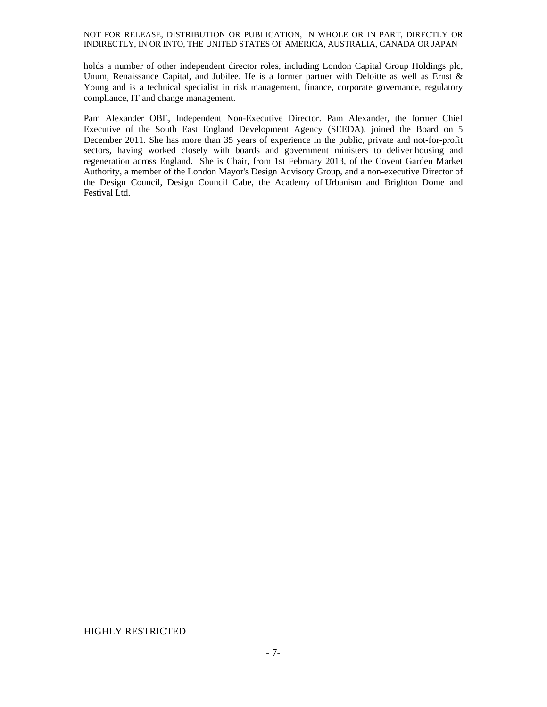holds a number of other independent director roles, including London Capital Group Holdings plc, Unum, Renaissance Capital, and Jubilee. He is a former partner with Deloitte as well as Ernst  $\&$ Young and is a technical specialist in risk management, finance, corporate governance, regulatory compliance, IT and change management.

Pam Alexander OBE, Independent Non-Executive Director. Pam Alexander, the former Chief Executive of the South East England Development Agency (SEEDA), joined the Board on 5 December 2011. She has more than 35 years of experience in the public, private and not-for-profit sectors, having worked closely with boards and government ministers to deliver housing and regeneration across England. She is Chair, from 1st February 2013, of the Covent Garden Market Authority, a member of the London Mayor's Design Advisory Group, and a non-executive Director of the Design Council, Design Council Cabe, the Academy of Urbanism and Brighton Dome and Festival Ltd.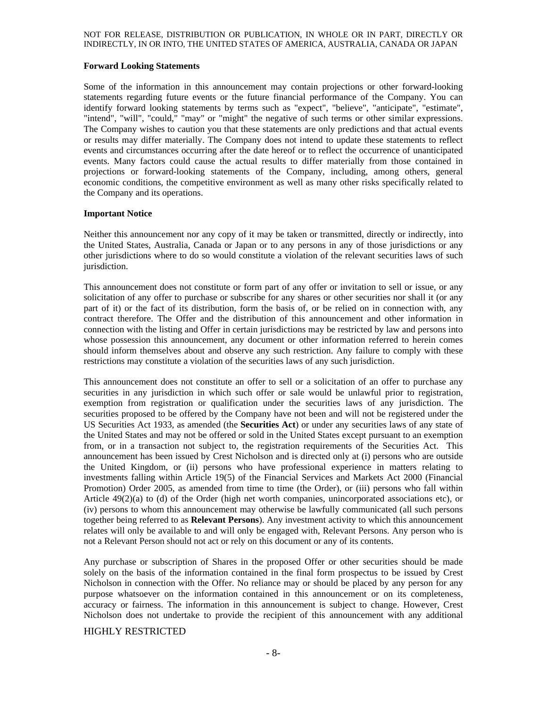## **Forward Looking Statements**

Some of the information in this announcement may contain projections or other forward-looking statements regarding future events or the future financial performance of the Company. You can identify forward looking statements by terms such as "expect", "believe", "anticipate", "estimate", "intend", "will", "could," "may" or "might" the negative of such terms or other similar expressions. The Company wishes to caution you that these statements are only predictions and that actual events or results may differ materially. The Company does not intend to update these statements to reflect events and circumstances occurring after the date hereof or to reflect the occurrence of unanticipated events. Many factors could cause the actual results to differ materially from those contained in projections or forward-looking statements of the Company, including, among others, general economic conditions, the competitive environment as well as many other risks specifically related to the Company and its operations.

# **Important Notice**

Neither this announcement nor any copy of it may be taken or transmitted, directly or indirectly, into the United States, Australia, Canada or Japan or to any persons in any of those jurisdictions or any other jurisdictions where to do so would constitute a violation of the relevant securities laws of such jurisdiction.

This announcement does not constitute or form part of any offer or invitation to sell or issue, or any solicitation of any offer to purchase or subscribe for any shares or other securities nor shall it (or any part of it) or the fact of its distribution, form the basis of, or be relied on in connection with, any contract therefore. The Offer and the distribution of this announcement and other information in connection with the listing and Offer in certain jurisdictions may be restricted by law and persons into whose possession this announcement, any document or other information referred to herein comes should inform themselves about and observe any such restriction. Any failure to comply with these restrictions may constitute a violation of the securities laws of any such jurisdiction.

This announcement does not constitute an offer to sell or a solicitation of an offer to purchase any securities in any jurisdiction in which such offer or sale would be unlawful prior to registration, exemption from registration or qualification under the securities laws of any jurisdiction. The securities proposed to be offered by the Company have not been and will not be registered under the US Securities Act 1933, as amended (the **Securities Act**) or under any securities laws of any state of the United States and may not be offered or sold in the United States except pursuant to an exemption from, or in a transaction not subject to, the registration requirements of the Securities Act. This announcement has been issued by Crest Nicholson and is directed only at (i) persons who are outside the United Kingdom, or (ii) persons who have professional experience in matters relating to investments falling within Article 19(5) of the Financial Services and Markets Act 2000 (Financial Promotion) Order 2005, as amended from time to time (the Order), or (iii) persons who fall within Article 49(2)(a) to (d) of the Order (high net worth companies, unincorporated associations etc), or (iv) persons to whom this announcement may otherwise be lawfully communicated (all such persons together being referred to as **Relevant Persons**). Any investment activity to which this announcement relates will only be available to and will only be engaged with, Relevant Persons. Any person who is not a Relevant Person should not act or rely on this document or any of its contents.

Any purchase or subscription of Shares in the proposed Offer or other securities should be made solely on the basis of the information contained in the final form prospectus to be issued by Crest Nicholson in connection with the Offer. No reliance may or should be placed by any person for any purpose whatsoever on the information contained in this announcement or on its completeness, accuracy or fairness. The information in this announcement is subject to change. However, Crest Nicholson does not undertake to provide the recipient of this announcement with any additional